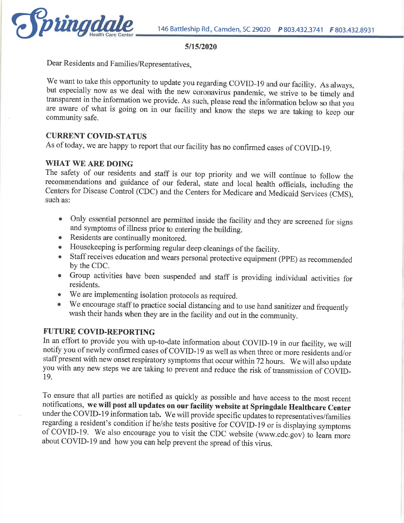

#### 5/15/2020

Dear Residents and Families/Representatives,

We want to take this opportunity to update you regarding COVID-19 and our facility. As always, but especially now as we deal with the new coronavirus pandemic, we strive to be timely and transparent in the information we provide. As such, please read the information below so that you are aware of what is going on in our facility and know the steps we are taking to keep our community safe.

## **CURRENT COVID-STATUS**

As of today, we are happy to report that our facility has no confirmed cases of COVID-19.

#### **WHAT WE ARE DOING**

The safety of our residents and staff is our top priority and we will continue to follow the recommendations and guidance of our federal, state and local health officials, including the Centers for Disease Control (CDC) and the Centers for Medicare and Medicaid Services (CMS), such as:

- Only essential personnel are permitted inside the facility and they are screened for signs and symptoms of illness prior to entering the building.
- Residents are continually monitored.
- Housekeeping is performing regular deep cleanings of the facility. ۰
- Staff receives education and wears personal protective equipment (PPE) as recommended by the CDC.
- Group activities have been suspended and staff is providing individual activities for residents.
- We are implementing isolation protocols as required.
- We encourage staff to practice social distancing and to use hand sanitizer and frequently  $\bullet$ wash their hands when they are in the facility and out in the community.

## **FUTURE COVID-REPORTING**

In an effort to provide you with up-to-date information about COVID-19 in our facility, we will notify you of newly confirmed cases of COVID-19 as well as when three or more residents and/or staff present with new onset respiratory symptoms that occur within 72 hours. We will also update you with any new steps we are taking to prevent and reduce the risk of transmission of COVID-19.

To ensure that all parties are notified as quickly as possible and have access to the most recent notifications, we will post all updates on our facility website at Springdale Healthcare Center under the COVID-19 information tab. We will provide specific updates to representatives/families regarding a resident's condition if he/she tests positive for COVID-19 or is displaying symptoms of COVID-19. We also encourage you to visit the CDC website (www.cdc.gov) to learn more about COVID-19 and how you can help prevent the spread of this virus.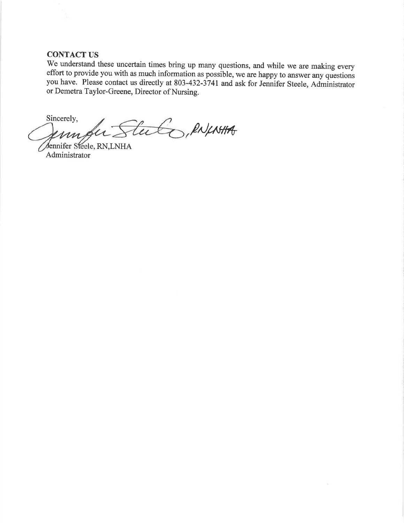#### **CONTACT US**

We understand these uncertain times bring up many questions, and while we are making every effort to provide you with as much information as possible, we are happy to answer any questions you have. Please contact us directly at 803-432-3741 and ask for Jennifer Steele, Administrator or Demetra Taylor-Greene, Director of Nursing.

Sincerely, PN/MHA Ftu m

Jennifer Steele, RN,LNHA Administrator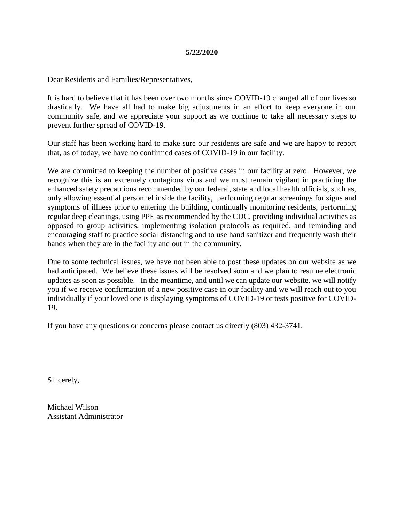#### **5/22/2020**

Dear Residents and Families/Representatives,

It is hard to believe that it has been over two months since COVID-19 changed all of our lives so drastically. We have all had to make big adjustments in an effort to keep everyone in our community safe, and we appreciate your support as we continue to take all necessary steps to prevent further spread of COVID-19.

Our staff has been working hard to make sure our residents are safe and we are happy to report that, as of today, we have no confirmed cases of COVID-19 in our facility.

We are committed to keeping the number of positive cases in our facility at zero. However, we recognize this is an extremely contagious virus and we must remain vigilant in practicing the enhanced safety precautions recommended by our federal, state and local health officials, such as, only allowing essential personnel inside the facility, performing regular screenings for signs and symptoms of illness prior to entering the building, continually monitoring residents, performing regular deep cleanings, using PPE as recommended by the CDC, providing individual activities as opposed to group activities, implementing isolation protocols as required, and reminding and encouraging staff to practice social distancing and to use hand sanitizer and frequently wash their hands when they are in the facility and out in the community.

Due to some technical issues, we have not been able to post these updates on our website as we had anticipated. We believe these issues will be resolved soon and we plan to resume electronic updates as soon as possible. In the meantime, and until we can update our website, we will notify you if we receive confirmation of a new positive case in our facility and we will reach out to you individually if your loved one is displaying symptoms of COVID-19 or tests positive for COVID-19.

If you have any questions or concerns please contact us directly (803) 432-3741.

Sincerely,

Michael Wilson Assistant Administrator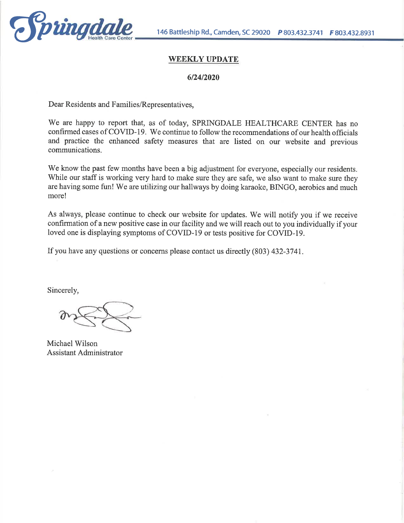

## **WEEKLY UPDATE**

#### 6/24/2020

Dear Residents and Families/Representatives,

We are happy to report that, as of today, SPRINGDALE HEALTHCARE CENTER has no confirmed cases of COVID-19. We continue to follow the recommendations of our health officials and practice the enhanced safety measures that are listed on our website and previous communications.

We know the past few months have been a big adjustment for everyone, especially our residents. While our staff is working very hard to make sure they are safe, we also want to make sure they are having some fun! We are utilizing our hallways by doing karaoke, BINGO, aerobics and much more!

As always, please continue to check our website for updates. We will notify you if we receive confirmation of a new positive case in our facility and we will reach out to you individually if your loved one is displaying symptoms of COVID-19 or tests positive for COVID-19.

If you have any questions or concerns please contact us directly (803) 432-3741.

Sincerely,

Michael Wilson **Assistant Administrator**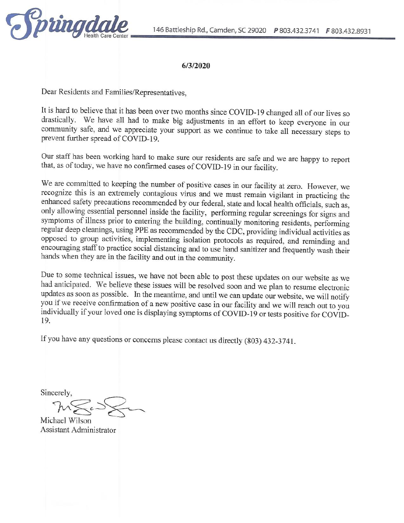

#### 6/3/2020

Dear Residents and Families/Representatives,

It is hard to believe that it has been over two months since COVID-19 changed all of our lives so drastically. We have all had to make big adjustments in an effort to keep everyone in our community safe, and we appreciate your support as we continue to take all necessary steps to prevent further spread of COVID-19.

Our staff has been working hard to make sure our residents are safe and we are happy to report that, as of today, we have no confirmed cases of COVID-19 in our facility.

We are committed to keeping the number of positive cases in our facility at zero. However, we recognize this is an extremely contagious virus and we must remain vigilant in practicing the enhanced safety precautions recommended by our federal, state and local health officials, such as, only allowing essential personnel inside the facility, performing regular screenings for signs and symptoms of illness prior to entering the building, continually monitoring residents, performing regular deep cleanings, using PPE as recommended by the CDC, providing individual activities as opposed to group activities, implementing isolation protocols as required, and reminding and encouraging staff to practice social distancing and to use hand sanitizer and frequently wash their hands when they are in the facility and out in the community.

Due to some technical issues, we have not been able to post these updates on our website as we had anticipated. We believe these issues will be resolved soon and we plan to resume electronic updates as soon as possible. In the meantime, and until we can update our website, we will notify you if we receive confirmation of a new positive case in our facility and we will reach out to you individually if your loved one is displaying symptoms of COVID-19 or tests positive for COVID-19.

If you have any questions or concerns please contact us directly (803) 432-3741.

Sincerely,

Michael Wilson Assistant Administrator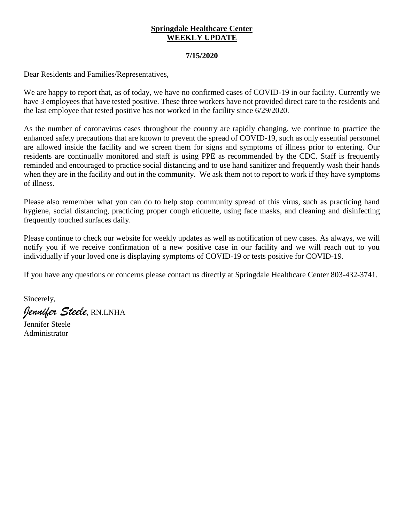#### **Springdale Healthcare Center WEEKLY UPDATE**

#### **7/15/2020**

Dear Residents and Families/Representatives,

We are happy to report that, as of today, we have no confirmed cases of COVID-19 in our facility. Currently we have 3 employees that have tested positive. These three workers have not provided direct care to the residents and the last employee that tested positive has not worked in the facility since 6/29/2020.

As the number of coronavirus cases throughout the country are rapidly changing, we continue to practice the enhanced safety precautions that are known to prevent the spread of COVID-19, such as only essential personnel are allowed inside the facility and we screen them for signs and symptoms of illness prior to entering. Our residents are continually monitored and staff is using PPE as recommended by the CDC. Staff is frequently reminded and encouraged to practice social distancing and to use hand sanitizer and frequently wash their hands when they are in the facility and out in the community. We ask them not to report to work if they have symptoms of illness.

Please also remember what you can do to help stop community spread of this virus, such as practicing hand hygiene, social distancing, practicing proper cough etiquette, using face masks, and cleaning and disinfecting frequently touched surfaces daily.

Please continue to check our website for weekly updates as well as notification of new cases. As always, we will notify you if we receive confirmation of a new positive case in our facility and we will reach out to you individually if your loved one is displaying symptoms of COVID-19 or tests positive for COVID-19.

If you have any questions or concerns please contact us directly at Springdale Healthcare Center 803-432-3741.

Sincerely, *Jennifer Steele*, RN.LNHA

Jennifer Steele Administrator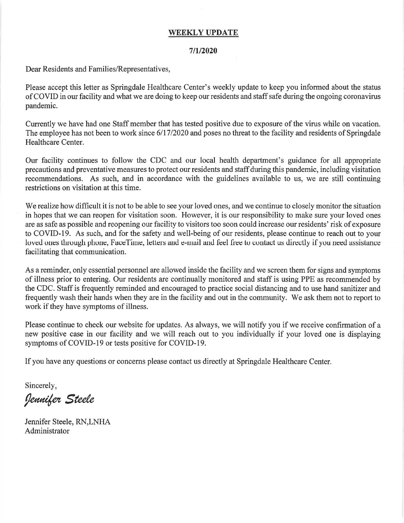#### **WEEKLY UPDATE**

#### $7/1/2020$

Dear Residents and Families/Representatives,

Please accept this letter as Springdale Healthcare Center's weekly update to keep you informed about the status of COVID in our facility and what we are doing to keep our residents and staff safe during the ongoing coronavirus pandemic.

Currently we have had one Staff member that has tested positive due to exposure of the virus while on vacation. The employee has not been to work since 6/17/2020 and poses no threat to the facility and residents of Springdale Healthcare Center.

Our facility continues to follow the CDC and our local health department's guidance for all appropriate precautions and preventative measures to protect our residents and staff during this pandemic, including visitation recommendations. As such, and in accordance with the guidelines available to us, we are still continuing restrictions on visitation at this time.

We realize how difficult it is not to be able to see your loved ones, and we continue to closely monitor the situation in hopes that we can reopen for visitation soon. However, it is our responsibility to make sure your loved ones are as safe as possible and reopening our facility to visitors too soon could increase our residents' risk of exposure to COVID-19. As such, and for the safety and well-being of our residents, please continue to reach out to your loved ones through phone, FaceTime, letters and e-mail and feel free to contact us directly if you need assistance facilitating that communication.

As a reminder, only essential personnel are allowed inside the facility and we screen them for signs and symptoms of illness prior to entering. Our residents are continually monitored and staff is using PPE as recommended by the CDC. Staff is frequently reminded and encouraged to practice social distancing and to use hand sanitizer and frequently wash their hands when they are in the facility and out in the community. We ask them not to report to work if they have symptoms of illness.

Please continue to check our website for updates. As always, we will notify you if we receive confirmation of a new positive case in our facility and we will reach out to you individually if your loved one is displaying symptoms of COVID-19 or tests positive for COVID-19.

If you have any questions or concerns please contact us directly at Springdale Healthcare Center.

Sincerely,

Jennifer Steele

Jennifer Steele, RN,LNHA Administrator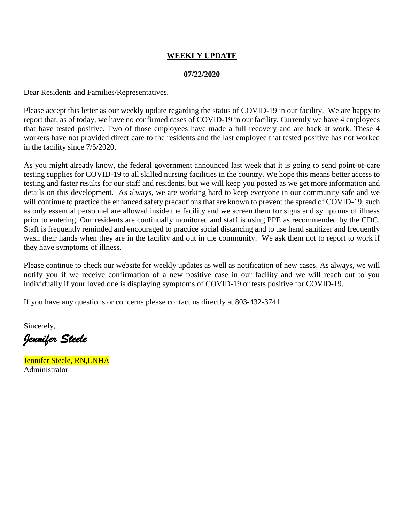## **WEEKLY UPDATE**

#### **07/22/2020**

Dear Residents and Families/Representatives,

Please accept this letter as our weekly update regarding the status of COVID-19 in our facility. We are happy to report that, as of today, we have no confirmed cases of COVID-19 in our facility. Currently we have 4 employees that have tested positive. Two of those employees have made a full recovery and are back at work. These 4 workers have not provided direct care to the residents and the last employee that tested positive has not worked in the facility since 7/5/2020.

As you might already know, the federal government announced last week that it is going to send point-of-care testing supplies for COVID-19 to all skilled nursing facilities in the country. We hope this means better access to testing and faster results for our staff and residents, but we will keep you posted as we get more information and details on this development. As always, we are working hard to keep everyone in our community safe and we will continue to practice the enhanced safety precautions that are known to prevent the spread of COVID-19, such as only essential personnel are allowed inside the facility and we screen them for signs and symptoms of illness prior to entering. Our residents are continually monitored and staff is using PPE as recommended by the CDC. Staff is frequently reminded and encouraged to practice social distancing and to use hand sanitizer and frequently wash their hands when they are in the facility and out in the community. We ask them not to report to work if they have symptoms of illness.

Please continue to check our website for weekly updates as well as notification of new cases. As always, we will notify you if we receive confirmation of a new positive case in our facility and we will reach out to you individually if your loved one is displaying symptoms of COVID-19 or tests positive for COVID-19.

If you have any questions or concerns please contact us directly at 803-432-3741.

Sincerely,

*Jennifer Steele* 

Jennifer Steele, RN,LNHA Administrator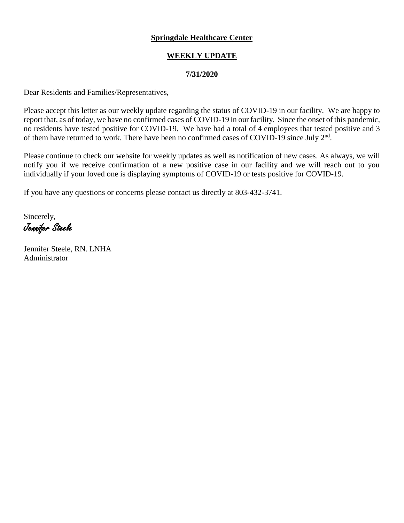# **WEEKLY UPDATE**

## **7/31/2020**

Dear Residents and Families/Representatives,

Please accept this letter as our weekly update regarding the status of COVID-19 in our facility. We are happy to report that, as of today, we have no confirmed cases of COVID-19 in our facility. Since the onset of this pandemic, no residents have tested positive for COVID-19. We have had a total of 4 employees that tested positive and 3 of them have returned to work. There have been no confirmed cases of COVID-19 since July  $2<sup>nd</sup>$ .

Please continue to check our website for weekly updates as well as notification of new cases. As always, we will notify you if we receive confirmation of a new positive case in our facility and we will reach out to you individually if your loved one is displaying symptoms of COVID-19 or tests positive for COVID-19.

If you have any questions or concerns please contact us directly at 803-432-3741.

Sincerely, Jennifer Steele

Jennifer Steele, RN. LNHA Administrator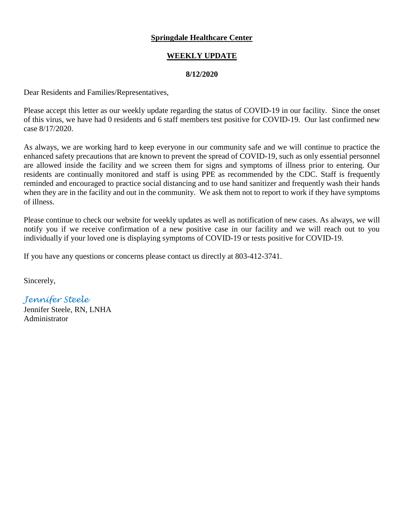## **WEEKLY UPDATE**

#### **8/12/2020**

Dear Residents and Families/Representatives,

Please accept this letter as our weekly update regarding the status of COVID-19 in our facility. Since the onset of this virus, we have had 0 residents and 6 staff members test positive for COVID-19. Our last confirmed new case 8/17/2020.

As always, we are working hard to keep everyone in our community safe and we will continue to practice the enhanced safety precautions that are known to prevent the spread of COVID-19, such as only essential personnel are allowed inside the facility and we screen them for signs and symptoms of illness prior to entering. Our residents are continually monitored and staff is using PPE as recommended by the CDC. Staff is frequently reminded and encouraged to practice social distancing and to use hand sanitizer and frequently wash their hands when they are in the facility and out in the community. We ask them not to report to work if they have symptoms of illness.

Please continue to check our website for weekly updates as well as notification of new cases. As always, we will notify you if we receive confirmation of a new positive case in our facility and we will reach out to you individually if your loved one is displaying symptoms of COVID-19 or tests positive for COVID-19.

If you have any questions or concerns please contact us directly at 803-412-3741.

Sincerely,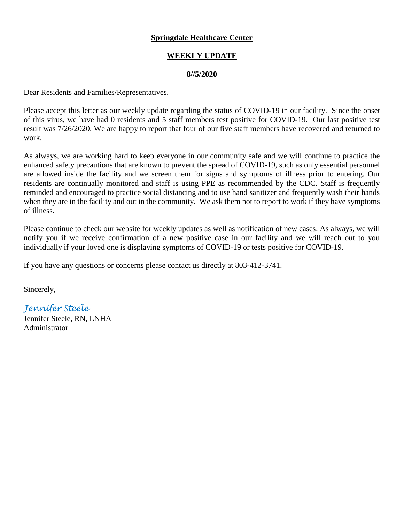## **WEEKLY UPDATE**

#### **8//5/2020**

Dear Residents and Families/Representatives,

Please accept this letter as our weekly update regarding the status of COVID-19 in our facility. Since the onset of this virus, we have had 0 residents and 5 staff members test positive for COVID-19. Our last positive test result was 7/26/2020. We are happy to report that four of our five staff members have recovered and returned to work.

As always, we are working hard to keep everyone in our community safe and we will continue to practice the enhanced safety precautions that are known to prevent the spread of COVID-19, such as only essential personnel are allowed inside the facility and we screen them for signs and symptoms of illness prior to entering. Our residents are continually monitored and staff is using PPE as recommended by the CDC. Staff is frequently reminded and encouraged to practice social distancing and to use hand sanitizer and frequently wash their hands when they are in the facility and out in the community. We ask them not to report to work if they have symptoms of illness.

Please continue to check our website for weekly updates as well as notification of new cases. As always, we will notify you if we receive confirmation of a new positive case in our facility and we will reach out to you individually if your loved one is displaying symptoms of COVID-19 or tests positive for COVID-19.

If you have any questions or concerns please contact us directly at 803-412-3741.

Sincerely,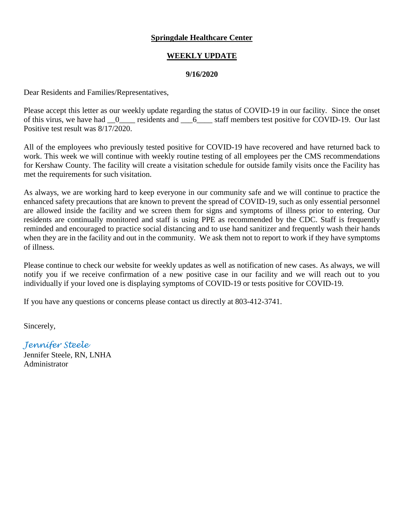## **WEEKLY UPDATE**

#### **9/16/2020**

Dear Residents and Families/Representatives,

Please accept this letter as our weekly update regarding the status of COVID-19 in our facility. Since the onset of this virus, we have had  $_0$  residents and  $_6$  staff members test positive for COVID-19. Our last Positive test result was 8/17/2020.

All of the employees who previously tested positive for COVID-19 have recovered and have returned back to work. This week we will continue with weekly routine testing of all employees per the CMS recommendations for Kershaw County. The facility will create a visitation schedule for outside family visits once the Facility has met the requirements for such visitation.

As always, we are working hard to keep everyone in our community safe and we will continue to practice the enhanced safety precautions that are known to prevent the spread of COVID-19, such as only essential personnel are allowed inside the facility and we screen them for signs and symptoms of illness prior to entering. Our residents are continually monitored and staff is using PPE as recommended by the CDC. Staff is frequently reminded and encouraged to practice social distancing and to use hand sanitizer and frequently wash their hands when they are in the facility and out in the community. We ask them not to report to work if they have symptoms of illness.

Please continue to check our website for weekly updates as well as notification of new cases. As always, we will notify you if we receive confirmation of a new positive case in our facility and we will reach out to you individually if your loved one is displaying symptoms of COVID-19 or tests positive for COVID-19.

If you have any questions or concerns please contact us directly at 803-412-3741.

Sincerely,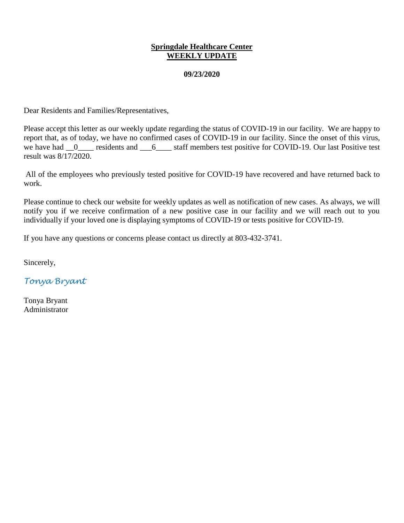#### **Springdale Healthcare Center WEEKLY UPDATE**

#### **09/23/2020**

Dear Residents and Families/Representatives,

Please accept this letter as our weekly update regarding the status of COVID-19 in our facility. We are happy to report that, as of today, we have no confirmed cases of COVID-19 in our facility. Since the onset of this virus, we have had  $\frac{0}{\sqrt{2}}$  residents and  $\frac{6}{\sqrt{2}}$  staff members test positive for COVID-19. Our last Positive test result was 8/17/2020.

All of the employees who previously tested positive for COVID-19 have recovered and have returned back to work.

Please continue to check our website for weekly updates as well as notification of new cases. As always, we will notify you if we receive confirmation of a new positive case in our facility and we will reach out to you individually if your loved one is displaying symptoms of COVID-19 or tests positive for COVID-19.

If you have any questions or concerns please contact us directly at 803-432-3741.

Sincerely,

*Tonya Bryant* 

Tonya Bryant Administrator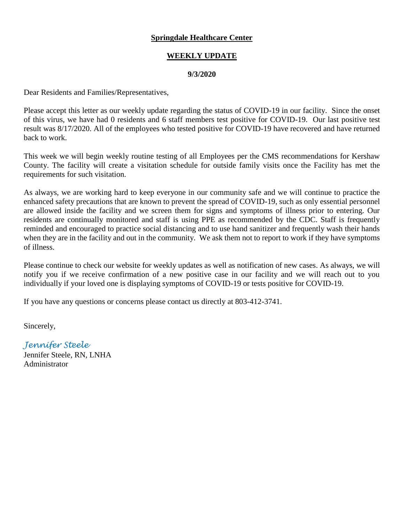## **WEEKLY UPDATE**

#### **9/3/2020**

Dear Residents and Families/Representatives,

Please accept this letter as our weekly update regarding the status of COVID-19 in our facility. Since the onset of this virus, we have had 0 residents and 6 staff members test positive for COVID-19. Our last positive test result was 8/17/2020. All of the employees who tested positive for COVID-19 have recovered and have returned back to work.

This week we will begin weekly routine testing of all Employees per the CMS recommendations for Kershaw County. The facility will create a visitation schedule for outside family visits once the Facility has met the requirements for such visitation.

As always, we are working hard to keep everyone in our community safe and we will continue to practice the enhanced safety precautions that are known to prevent the spread of COVID-19, such as only essential personnel are allowed inside the facility and we screen them for signs and symptoms of illness prior to entering. Our residents are continually monitored and staff is using PPE as recommended by the CDC. Staff is frequently reminded and encouraged to practice social distancing and to use hand sanitizer and frequently wash their hands when they are in the facility and out in the community. We ask them not to report to work if they have symptoms of illness.

Please continue to check our website for weekly updates as well as notification of new cases. As always, we will notify you if we receive confirmation of a new positive case in our facility and we will reach out to you individually if your loved one is displaying symptoms of COVID-19 or tests positive for COVID-19.

If you have any questions or concerns please contact us directly at 803-412-3741.

Sincerely,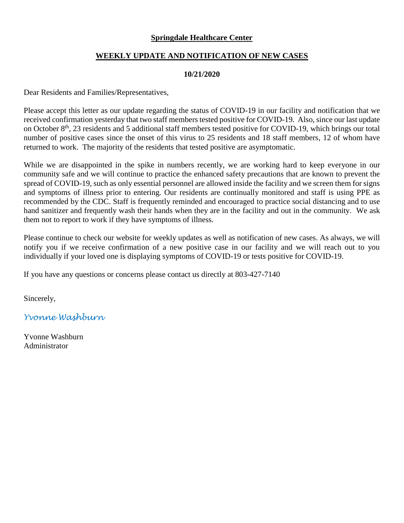#### **WEEKLY UPDATE AND NOTIFICATION OF NEW CASES**

#### **10/21/2020**

Dear Residents and Families/Representatives,

Please accept this letter as our update regarding the status of COVID-19 in our facility and notification that we received confirmation yesterday that two staff members tested positive for COVID-19. Also, since our last update on October 8<sup>th</sup>, 23 residents and 5 additional staff members tested positive for COVID-19, which brings our total number of positive cases since the onset of this virus to 25 residents and 18 staff members, 12 of whom have returned to work. The majority of the residents that tested positive are asymptomatic.

While we are disappointed in the spike in numbers recently, we are working hard to keep everyone in our community safe and we will continue to practice the enhanced safety precautions that are known to prevent the spread of COVID-19, such as only essential personnel are allowed inside the facility and we screen them for signs and symptoms of illness prior to entering. Our residents are continually monitored and staff is using PPE as recommended by the CDC. Staff is frequently reminded and encouraged to practice social distancing and to use hand sanitizer and frequently wash their hands when they are in the facility and out in the community. We ask them not to report to work if they have symptoms of illness.

Please continue to check our website for weekly updates as well as notification of new cases. As always, we will notify you if we receive confirmation of a new positive case in our facility and we will reach out to you individually if your loved one is displaying symptoms of COVID-19 or tests positive for COVID-19.

If you have any questions or concerns please contact us directly at 803-427-7140

Sincerely,

*Yvonne Washburn*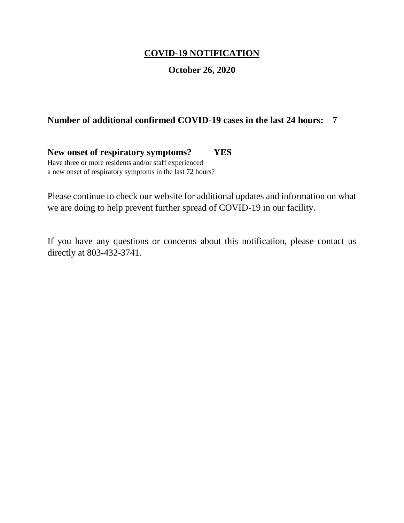# **COVID-19 NOTIFICATION**

# **October 26, 2020**

# **Number of additional confirmed COVID-19 cases in the last 24 hours: 7**

**New onset of respiratory symptoms? YES** Have three or more residents and/or staff experienced a new onset of respiratory symptoms in the last 72 hours?

Please continue to check our website for additional updates and information on what we are doing to help prevent further spread of COVID-19 in our facility.

If you have any questions or concerns about this notification, please contact us directly at 803-432-3741.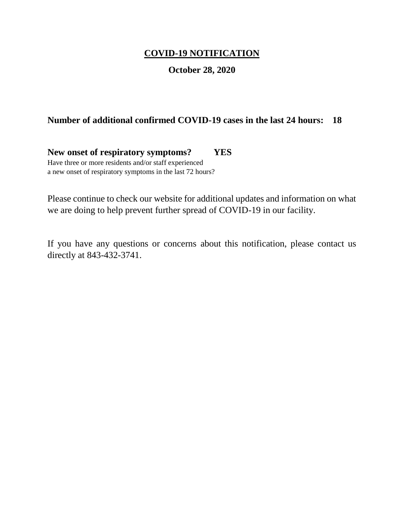# **COVID-19 NOTIFICATION**

# **October 28, 2020**

# **Number of additional confirmed COVID-19 cases in the last 24 hours: 18**

**New onset of respiratory symptoms? YES** Have three or more residents and/or staff experienced a new onset of respiratory symptoms in the last 72 hours?

Please continue to check our website for additional updates and information on what we are doing to help prevent further spread of COVID-19 in our facility.

If you have any questions or concerns about this notification, please contact us directly at 843-432-3741.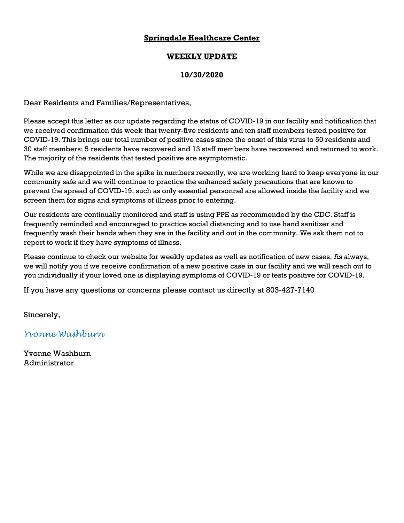## **WEEKLY UPDATE**

## **10/30/2020**

Dear Residents and Families/Representatives,

Please accept this letter as our update regarding the status of COVID-19 in our facility and notification that we received confirmation this week that twenty-five residents and ten staff members tested positive for COVID-19. This brings our total number of positive cases since the onset of this virus to 50 residents and 30 staff members; 5 residents have recovered and 13 staff members have recovered and returned to work. The majority of the residents that tested positive are asymptomatic.

While we are disappointed in the spike in numbers recently, we are working hard to keep everyone in our community safe and we will continue to practice the enhanced safety precautions that are known to prevent the spread of COVID-19, such as only essential personnel are allowed inside the facility and we screen them for signs and symptoms of illness prior to entering.

Our residents are continually monitored and staff is using PPE as recommended by the CDC. Staff is frequently reminded and encouraged to practice social distancing and to use hand sanitizer and frequently wash their hands when they are in the facility and out in the community. We ask them not to report to work if they have symptoms of illness.

Please continue to check our website for weekly updates as well as notification of new cases. As always, we will notify you if we receive confirmation of a new positive case in our facility and we will reach out to you individually if your loved one is displaying symptoms of COVID-19 or tests positive for COVID-19.

If you have any questions or concerns please contact us directly at 803-427-7140

Sincerely,

*Yvonne Washburn*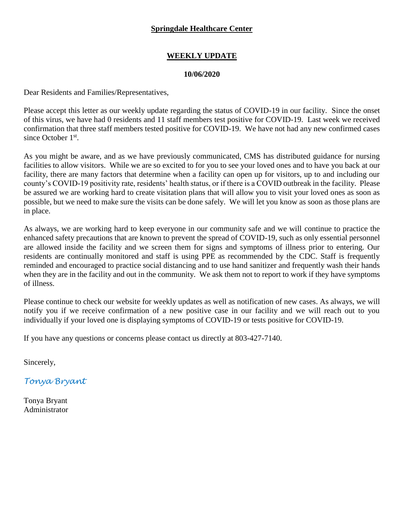# **WEEKLY UPDATE**

#### **10/06/2020**

Dear Residents and Families/Representatives,

Please accept this letter as our weekly update regarding the status of COVID-19 in our facility. Since the onset of this virus, we have had 0 residents and 11 staff members test positive for COVID-19. Last week we received confirmation that three staff members tested positive for COVID-19. We have not had any new confirmed cases since October 1<sup>st</sup>.

As you might be aware, and as we have previously communicated, CMS has distributed guidance for nursing facilities to allow visitors. While we are so excited to for you to see your loved ones and to have you back at our facility, there are many factors that determine when a facility can open up for visitors, up to and including our county's COVID-19 positivity rate, residents' health status, or if there is a COVID outbreak in the facility. Please be assured we are working hard to create visitation plans that will allow you to visit your loved ones as soon as possible, but we need to make sure the visits can be done safely. We will let you know as soon as those plans are in place.

As always, we are working hard to keep everyone in our community safe and we will continue to practice the enhanced safety precautions that are known to prevent the spread of COVID-19, such as only essential personnel are allowed inside the facility and we screen them for signs and symptoms of illness prior to entering. Our residents are continually monitored and staff is using PPE as recommended by the CDC. Staff is frequently reminded and encouraged to practice social distancing and to use hand sanitizer and frequently wash their hands when they are in the facility and out in the community. We ask them not to report to work if they have symptoms of illness.

Please continue to check our website for weekly updates as well as notification of new cases. As always, we will notify you if we receive confirmation of a new positive case in our facility and we will reach out to you individually if your loved one is displaying symptoms of COVID-19 or tests positive for COVID-19.

If you have any questions or concerns please contact us directly at 803-427-7140.

Sincerely,

*Tonya Bryant*

Tonya Bryant Administrator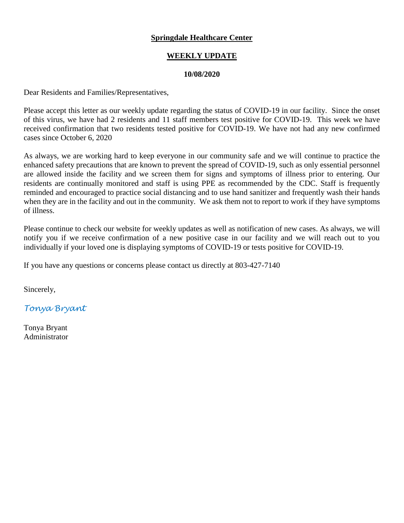## **WEEKLY UPDATE**

#### **10/08/2020**

Dear Residents and Families/Representatives,

Please accept this letter as our weekly update regarding the status of COVID-19 in our facility. Since the onset of this virus, we have had 2 residents and 11 staff members test positive for COVID-19. This week we have received confirmation that two residents tested positive for COVID-19. We have not had any new confirmed cases since October 6, 2020

As always, we are working hard to keep everyone in our community safe and we will continue to practice the enhanced safety precautions that are known to prevent the spread of COVID-19, such as only essential personnel are allowed inside the facility and we screen them for signs and symptoms of illness prior to entering. Our residents are continually monitored and staff is using PPE as recommended by the CDC. Staff is frequently reminded and encouraged to practice social distancing and to use hand sanitizer and frequently wash their hands when they are in the facility and out in the community. We ask them not to report to work if they have symptoms of illness.

Please continue to check our website for weekly updates as well as notification of new cases. As always, we will notify you if we receive confirmation of a new positive case in our facility and we will reach out to you individually if your loved one is displaying symptoms of COVID-19 or tests positive for COVID-19.

If you have any questions or concerns please contact us directly at 803-427-7140

Sincerely,

*Tonya Bryant*

Tonya Bryant Administrator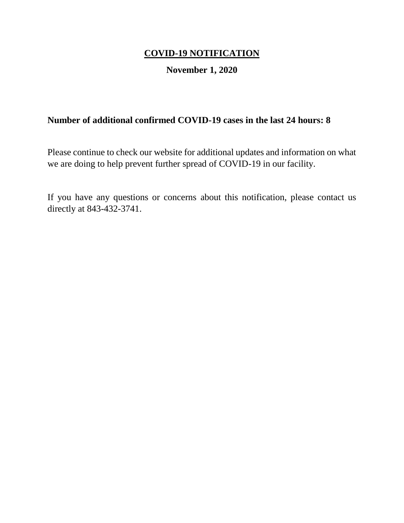# **COVID-19 NOTIFICATION**

# **November 1, 2020**

# **Number of additional confirmed COVID-19 cases in the last 24 hours: 8**

Please continue to check our website for additional updates and information on what we are doing to help prevent further spread of COVID-19 in our facility.

If you have any questions or concerns about this notification, please contact us directly at 843-432-3741.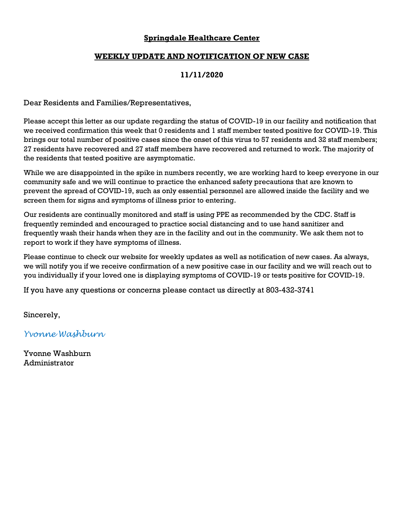#### **WEEKLY UPDATE AND NOTIFICATION OF NEW CASE**

## **11/11/2020**

Dear Residents and Families/Representatives,

Please accept this letter as our update regarding the status of COVID-19 in our facility and notification that we received confirmation this week that 0 residents and 1 staff member tested positive for COVID-19. This brings our total number of positive cases since the onset of this virus to 57 residents and 32 staff members; 27 residents have recovered and 27 staff members have recovered and returned to work. The majority of the residents that tested positive are asymptomatic.

While we are disappointed in the spike in numbers recently, we are working hard to keep everyone in our community safe and we will continue to practice the enhanced safety precautions that are known to prevent the spread of COVID-19, such as only essential personnel are allowed inside the facility and we screen them for signs and symptoms of illness prior to entering.

Our residents are continually monitored and staff is using PPE as recommended by the CDC. Staff is frequently reminded and encouraged to practice social distancing and to use hand sanitizer and frequently wash their hands when they are in the facility and out in the community. We ask them not to report to work if they have symptoms of illness.

Please continue to check our website for weekly updates as well as notification of new cases. As always, we will notify you if we receive confirmation of a new positive case in our facility and we will reach out to you individually if your loved one is displaying symptoms of COVID-19 or tests positive for COVID-19.

If you have any questions or concerns please contact us directly at 803-432-3741

Sincerely,

*Yvonne Washburn*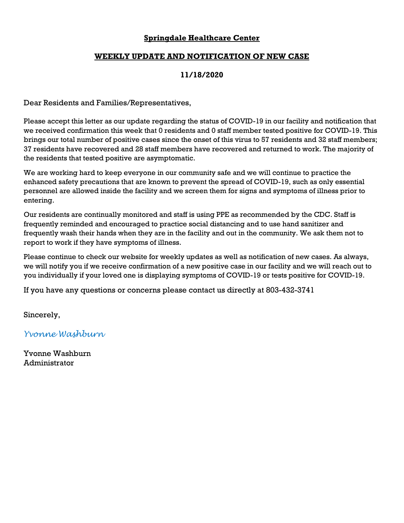#### **WEEKLY UPDATE AND NOTIFICATION OF NEW CASE**

## **11/18/2020**

Dear Residents and Families/Representatives,

Please accept this letter as our update regarding the status of COVID-19 in our facility and notification that we received confirmation this week that 0 residents and 0 staff member tested positive for COVID-19. This brings our total number of positive cases since the onset of this virus to 57 residents and 32 staff members; 37 residents have recovered and 28 staff members have recovered and returned to work. The majority of the residents that tested positive are asymptomatic.

We are working hard to keep everyone in our community safe and we will continue to practice the enhanced safety precautions that are known to prevent the spread of COVID-19, such as only essential personnel are allowed inside the facility and we screen them for signs and symptoms of illness prior to entering.

Our residents are continually monitored and staff is using PPE as recommended by the CDC. Staff is frequently reminded and encouraged to practice social distancing and to use hand sanitizer and frequently wash their hands when they are in the facility and out in the community. We ask them not to report to work if they have symptoms of illness.

Please continue to check our website for weekly updates as well as notification of new cases. As always, we will notify you if we receive confirmation of a new positive case in our facility and we will reach out to you individually if your loved one is displaying symptoms of COVID-19 or tests positive for COVID-19.

If you have any questions or concerns please contact us directly at 803-432-3741

Sincerely,

*Yvonne Washburn*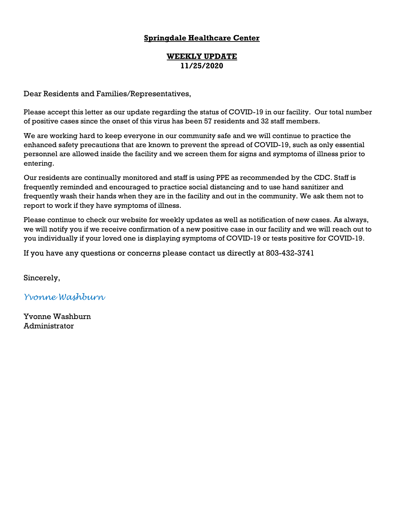## **WEEKLY UPDATE 11/25/2020**

Dear Residents and Families/Representatives,

Please accept this letter as our update regarding the status of COVID-19 in our facility. Our total number of positive cases since the onset of this virus has been 57 residents and 32 staff members.

We are working hard to keep everyone in our community safe and we will continue to practice the enhanced safety precautions that are known to prevent the spread of COVID-19, such as only essential personnel are allowed inside the facility and we screen them for signs and symptoms of illness prior to entering.

Our residents are continually monitored and staff is using PPE as recommended by the CDC. Staff is frequently reminded and encouraged to practice social distancing and to use hand sanitizer and frequently wash their hands when they are in the facility and out in the community. We ask them not to report to work if they have symptoms of illness.

Please continue to check our website for weekly updates as well as notification of new cases. As always, we will notify you if we receive confirmation of a new positive case in our facility and we will reach out to you individually if your loved one is displaying symptoms of COVID-19 or tests positive for COVID-19.

If you have any questions or concerns please contact us directly at 803-432-3741

Sincerely,

*Yvonne Washburn*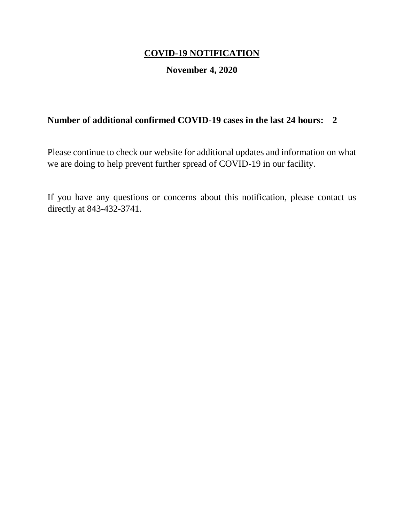# **COVID-19 NOTIFICATION**

# **November 4, 2020**

# **Number of additional confirmed COVID-19 cases in the last 24 hours: 2**

Please continue to check our website for additional updates and information on what we are doing to help prevent further spread of COVID-19 in our facility.

If you have any questions or concerns about this notification, please contact us directly at 843-432-3741.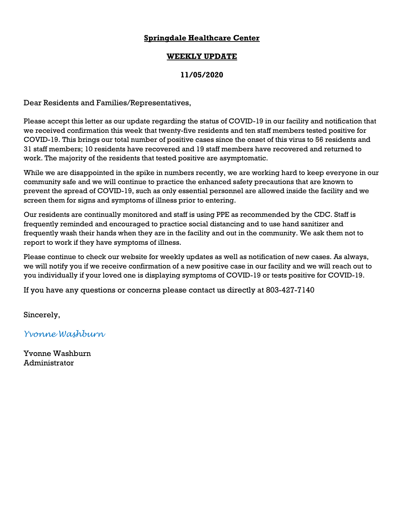## **WEEKLY UPDATE**

## **11/05/2020**

Dear Residents and Families/Representatives,

Please accept this letter as our update regarding the status of COVID-19 in our facility and notification that we received confirmation this week that twenty-five residents and ten staff members tested positive for COVID-19. This brings our total number of positive cases since the onset of this virus to 56 residents and 31 staff members; 10 residents have recovered and 19 staff members have recovered and returned to work. The majority of the residents that tested positive are asymptomatic.

While we are disappointed in the spike in numbers recently, we are working hard to keep everyone in our community safe and we will continue to practice the enhanced safety precautions that are known to prevent the spread of COVID-19, such as only essential personnel are allowed inside the facility and we screen them for signs and symptoms of illness prior to entering.

Our residents are continually monitored and staff is using PPE as recommended by the CDC. Staff is frequently reminded and encouraged to practice social distancing and to use hand sanitizer and frequently wash their hands when they are in the facility and out in the community. We ask them not to report to work if they have symptoms of illness.

Please continue to check our website for weekly updates as well as notification of new cases. As always, we will notify you if we receive confirmation of a new positive case in our facility and we will reach out to you individually if your loved one is displaying symptoms of COVID-19 or tests positive for COVID-19.

If you have any questions or concerns please contact us directly at 803-427-7140

Sincerely,

*Yvonne Washburn*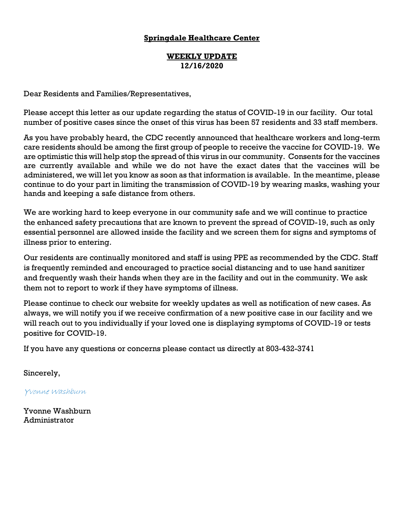#### **WEEKLY UPDATE 12/16/2020**

Dear Residents and Families/Representatives,

Please accept this letter as our update regarding the status of COVID-19 in our facility. Our total number of positive cases since the onset of this virus has been 57 residents and 33 staff members.

As you have probably heard, the CDC recently announced that healthcare workers and long-term care residents should be among the first group of people to receive the vaccine for COVID-19. We are optimistic this will help stop the spread of this virus in our community. Consents for the vaccines are currently available and while we do not have the exact dates that the vaccines will be administered, we will let you know as soon as that information is available. In the meantime, please continue to do your part in limiting the transmission of COVID-19 by wearing masks, washing your hands and keeping a safe distance from others.

We are working hard to keep everyone in our community safe and we will continue to practice the enhanced safety precautions that are known to prevent the spread of COVID-19, such as only essential personnel are allowed inside the facility and we screen them for signs and symptoms of illness prior to entering.

Our residents are continually monitored and staff is using PPE as recommended by the CDC. Staff is frequently reminded and encouraged to practice social distancing and to use hand sanitizer and frequently wash their hands when they are in the facility and out in the community. We ask them not to report to work if they have symptoms of illness.

Please continue to check our website for weekly updates as well as notification of new cases. As always, we will notify you if we receive confirmation of a new positive case in our facility and we will reach out to you individually if your loved one is displaying symptoms of COVID-19 or tests positive for COVID-19.

If you have any questions or concerns please contact us directly at 803-432-3741

Sincerely,

Yvonne Washburn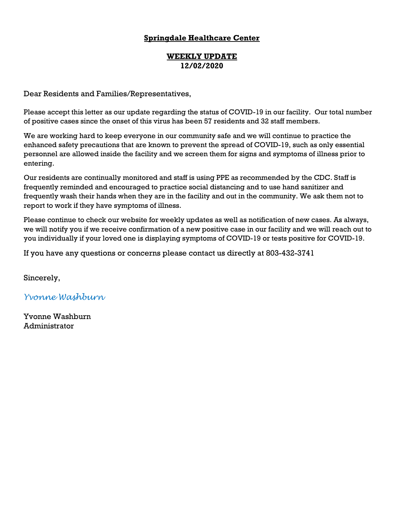### **WEEKLY UPDATE 12/02/2020**

Dear Residents and Families/Representatives,

Please accept this letter as our update regarding the status of COVID-19 in our facility. Our total number of positive cases since the onset of this virus has been 57 residents and 32 staff members.

We are working hard to keep everyone in our community safe and we will continue to practice the enhanced safety precautions that are known to prevent the spread of COVID-19, such as only essential personnel are allowed inside the facility and we screen them for signs and symptoms of illness prior to entering.

Our residents are continually monitored and staff is using PPE as recommended by the CDC. Staff is frequently reminded and encouraged to practice social distancing and to use hand sanitizer and frequently wash their hands when they are in the facility and out in the community. We ask them not to report to work if they have symptoms of illness.

Please continue to check our website for weekly updates as well as notification of new cases. As always, we will notify you if we receive confirmation of a new positive case in our facility and we will reach out to you individually if your loved one is displaying symptoms of COVID-19 or tests positive for COVID-19.

If you have any questions or concerns please contact us directly at 803-432-3741

Sincerely,

*Yvonne Washburn*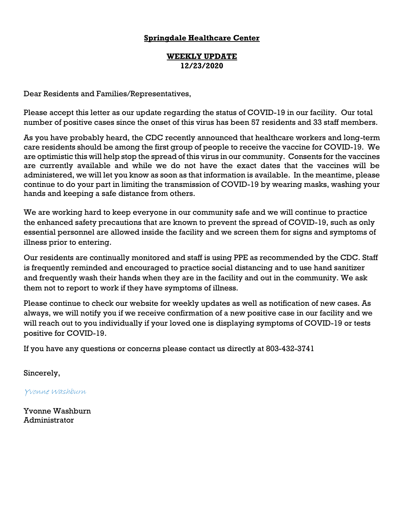#### **WEEKLY UPDATE 12/23/2020**

Dear Residents and Families/Representatives,

Please accept this letter as our update regarding the status of COVID-19 in our facility. Our total number of positive cases since the onset of this virus has been 57 residents and 33 staff members.

As you have probably heard, the CDC recently announced that healthcare workers and long-term care residents should be among the first group of people to receive the vaccine for COVID-19. We are optimistic this will help stop the spread of this virus in our community. Consents for the vaccines are currently available and while we do not have the exact dates that the vaccines will be administered, we will let you know as soon as that information is available. In the meantime, please continue to do your part in limiting the transmission of COVID-19 by wearing masks, washing your hands and keeping a safe distance from others.

We are working hard to keep everyone in our community safe and we will continue to practice the enhanced safety precautions that are known to prevent the spread of COVID-19, such as only essential personnel are allowed inside the facility and we screen them for signs and symptoms of illness prior to entering.

Our residents are continually monitored and staff is using PPE as recommended by the CDC. Staff is frequently reminded and encouraged to practice social distancing and to use hand sanitizer and frequently wash their hands when they are in the facility and out in the community. We ask them not to report to work if they have symptoms of illness.

Please continue to check our website for weekly updates as well as notification of new cases. As always, we will notify you if we receive confirmation of a new positive case in our facility and we will reach out to you individually if your loved one is displaying symptoms of COVID-19 or tests positive for COVID-19.

If you have any questions or concerns please contact us directly at 803-432-3741

Sincerely,

Yvonne Washburn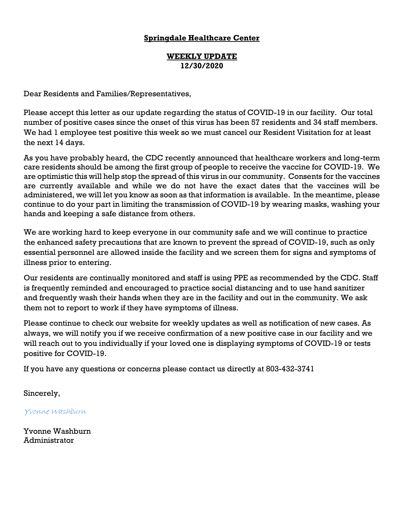#### **WEEKLY UPDATE 12/30/2020**

Dear Residents and Families/Representatives,

Please accept this letter as our update regarding the status of COVID-19 in our facility. Our total number of positive cases since the onset of this virus has been 57 residents and 34 staff members. We had 1 employee test positive this week so we must cancel our Resident Visitation for at least the next 14 days.

As you have probably heard, the CDC recently announced that healthcare workers and long-term care residents should be among the first group of people to receive the vaccine for COVID-19. We are optimistic this will help stop the spread of this virus in our community. Consents for the vaccines are currently available and while we do not have the exact dates that the vaccines will be administered, we will let you know as soon as that information is available. In the meantime, please continue to do your part in limiting the transmission of COVID-19 by wearing masks, washing your hands and keeping a safe distance from others.

We are working hard to keep everyone in our community safe and we will continue to practice the enhanced safety precautions that are known to prevent the spread of COVID-19, such as only essential personnel are allowed inside the facility and we screen them for signs and symptoms of illness prior to entering.

Our residents are continually monitored and staff is using PPE as recommended by the CDC. Staff is frequently reminded and encouraged to practice social distancing and to use hand sanitizer and frequently wash their hands when they are in the facility and out in the community. We ask them not to report to work if they have symptoms of illness.

Please continue to check our website for weekly updates as well as notification of new cases. As always, we will notify you if we receive confirmation of a new positive case in our facility and we will reach out to you individually if your loved one is displaying symptoms of COVID-19 or tests positive for COVID-19.

If you have any questions or concerns please contact us directly at 803-432-3741

Sincerely,

Yvonne Washburn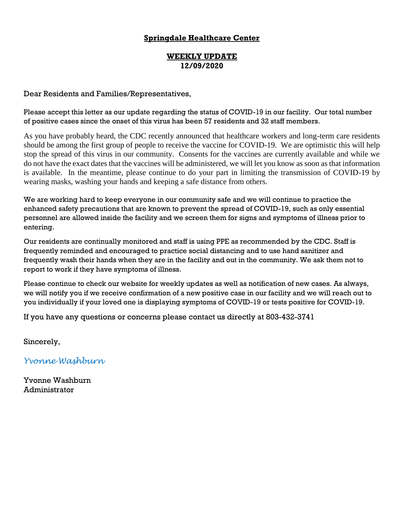#### **WEEKLY UPDATE 12/09/2020**

#### Dear Residents and Families/Representatives,

Please accept this letter as our update regarding the status of COVID-19 in our facility. Our total number of positive cases since the onset of this virus has been 57 residents and 32 staff members.

As you have probably heard, the CDC recently announced that healthcare workers and long-term care residents should be among the first group of people to receive the vaccine for COVID-19. We are optimistic this will help stop the spread of this virus in our community. Consents for the vaccines are currently available and while we do not have the exact dates that the vaccines will be administered, we will let you know as soon as that information is available. In the meantime, please continue to do your part in limiting the transmission of COVID-19 by wearing masks, washing your hands and keeping a safe distance from others.

We are working hard to keep everyone in our community safe and we will continue to practice the enhanced safety precautions that are known to prevent the spread of COVID-19, such as only essential personnel are allowed inside the facility and we screen them for signs and symptoms of illness prior to entering.

Our residents are continually monitored and staff is using PPE as recommended by the CDC. Staff is frequently reminded and encouraged to practice social distancing and to use hand sanitizer and frequently wash their hands when they are in the facility and out in the community. We ask them not to report to work if they have symptoms of illness.

Please continue to check our website for weekly updates as well as notification of new cases. As always, we will notify you if we receive confirmation of a new positive case in our facility and we will reach out to you individually if your loved one is displaying symptoms of COVID-19 or tests positive for COVID-19.

If you have any questions or concerns please contact us directly at 803-432-3741

Sincerely,

*Yvonne Washburn*